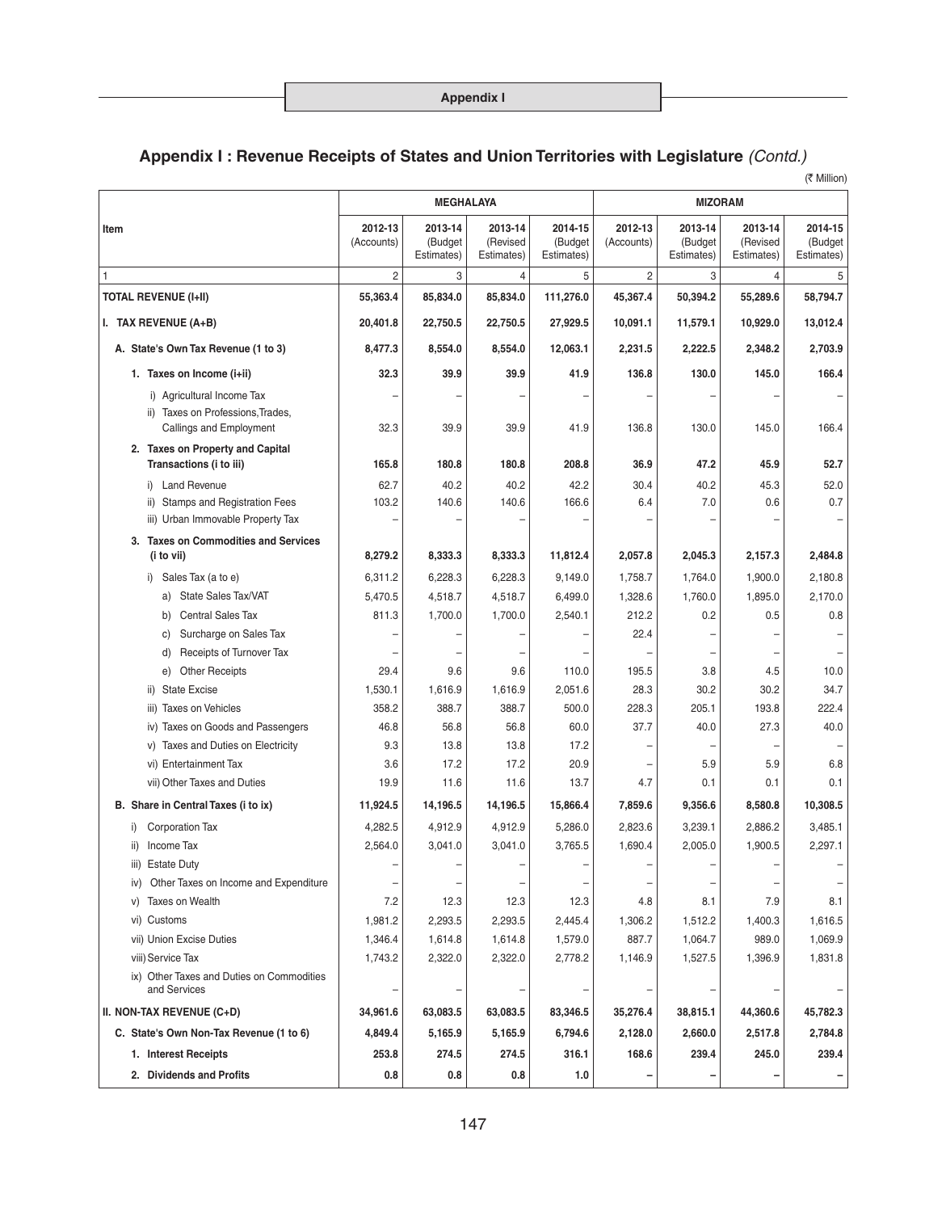(そ Million)

|                                                                                            | <b>MEGHALAYA</b><br><b>MIZORAM</b> |                                  |                                   |                                  |                       |                                  |                                   |                                  |
|--------------------------------------------------------------------------------------------|------------------------------------|----------------------------------|-----------------------------------|----------------------------------|-----------------------|----------------------------------|-----------------------------------|----------------------------------|
| Item                                                                                       | 2012-13<br>(Accounts)              | 2013-14<br>(Budget<br>Estimates) | 2013-14<br>(Revised<br>Estimates) | 2014-15<br>(Budget<br>Estimates) | 2012-13<br>(Accounts) | 2013-14<br>(Budget<br>Estimates) | 2013-14<br>(Revised<br>Estimates) | 2014-15<br>(Budget<br>Estimates) |
| 1                                                                                          | $\overline{2}$                     | 3                                | 4                                 | 5                                | $\overline{2}$        | 3                                | 4                                 | 5                                |
| <b>TOTAL REVENUE (I+II)</b>                                                                | 55,363.4                           | 85,834.0                         | 85,834.0                          | 111,276.0                        | 45,367.4              | 50,394.2                         | 55,289.6                          | 58,794.7                         |
| I. TAX REVENUE (A+B)                                                                       | 20,401.8                           | 22,750.5                         | 22,750.5                          | 27,929.5                         | 10,091.1              | 11,579.1                         | 10,929.0                          | 13,012.4                         |
| A. State's Own Tax Revenue (1 to 3)                                                        | 8,477.3                            | 8,554.0                          | 8,554.0                           | 12,063.1                         | 2,231.5               | 2,222.5                          | 2.348.2                           | 2,703.9                          |
| 1. Taxes on Income (i+ii)                                                                  | 32.3                               | 39.9                             | 39.9                              | 41.9                             | 136.8                 | 130.0                            | 145.0                             | 166.4                            |
| i) Agricultural Income Tax<br>ii) Taxes on Professions, Trades,<br>Callings and Employment | 32.3                               | 39.9                             | 39.9                              | 41.9                             | 136.8                 | 130.0                            | 145.0                             | 166.4                            |
| 2. Taxes on Property and Capital<br>Transactions (i to iii)                                | 165.8                              | 180.8                            | 180.8                             | 208.8                            | 36.9                  | 47.2                             | 45.9                              | 52.7                             |
| <b>Land Revenue</b><br>i)                                                                  | 62.7                               | 40.2                             | 40.2                              | 42.2                             | 30.4                  | 40.2                             | 45.3                              | 52.0                             |
| <b>Stamps and Registration Fees</b>                                                        | 103.2                              | 140.6                            | 140.6                             | 166.6                            | 6.4                   | 7.0                              | 0.6                               | 0.7                              |
| iii) Urban Immovable Property Tax                                                          |                                    |                                  |                                   |                                  |                       |                                  |                                   |                                  |
| 3. Taxes on Commodities and Services<br>(i to vii)                                         | 8,279.2                            | 8,333.3                          | 8,333.3                           | 11,812.4                         | 2,057.8               | 2,045.3                          | 2,157.3                           | 2,484.8                          |
| Sales Tax (a to e)<br>i)                                                                   | 6.311.2                            | 6,228.3                          | 6,228.3                           | 9,149.0                          | 1,758.7               | 1,764.0                          | 1,900.0                           | 2,180.8                          |
| State Sales Tax/VAT<br>a)                                                                  | 5,470.5                            | 4,518.7                          | 4,518.7                           | 6,499.0                          | 1,328.6               | 1,760.0                          | 1,895.0                           | 2,170.0                          |
| <b>Central Sales Tax</b><br>b)                                                             | 811.3                              | 1,700.0                          | 1,700.0                           | 2,540.1                          | 212.2                 | 0.2                              | 0.5                               | 0.8                              |
| Surcharge on Sales Tax<br>C)                                                               |                                    |                                  |                                   |                                  | 22.4                  |                                  |                                   |                                  |
| Receipts of Turnover Tax<br>d)                                                             |                                    |                                  |                                   |                                  |                       |                                  |                                   |                                  |
| <b>Other Receipts</b><br>e)                                                                | 29.4                               | 9.6                              | 9.6                               | 110.0                            | 195.5                 | 3.8                              | 4.5                               | 10.0                             |
| ii) State Excise                                                                           | 1,530.1                            | 1,616.9                          | 1,616.9                           | 2,051.6                          | 28.3                  | 30.2                             | 30.2                              | 34.7                             |
| <b>Taxes on Vehicles</b><br>iii)                                                           | 358.2                              | 388.7                            | 388.7                             | 500.0                            | 228.3                 | 205.1                            | 193.8                             | 222.4                            |
| iv) Taxes on Goods and Passengers<br>v) Taxes and Duties on Electricity                    | 46.8<br>9.3                        | 56.8<br>13.8                     | 56.8<br>13.8                      | 60.0<br>17.2                     | 37.7                  | 40.0                             | 27.3                              | 40.0                             |
| vi) Entertainment Tax                                                                      | 3.6                                | 17.2                             | 17.2                              | 20.9                             |                       | 5.9                              | 5.9                               | 6.8                              |
| vii) Other Taxes and Duties                                                                | 19.9                               | 11.6                             | 11.6                              | 13.7                             | 4.7                   | 0.1                              | 0.1                               | 0.1                              |
| B. Share in Central Taxes (i to ix)                                                        | 11,924.5                           | 14,196.5                         | 14,196.5                          | 15,866.4                         | 7,859.6               | 9,356.6                          | 8,580.8                           | 10,308.5                         |
| <b>Corporation Tax</b>                                                                     |                                    | 4,912.9                          |                                   |                                  |                       |                                  |                                   | 3,485.1                          |
| i)<br>ii) Income Tax                                                                       | 4,282.5<br>2,564.0                 | 3,041.0                          | 4,912.9<br>3,041.0                | 5,286.0<br>3,765.5               | 2,823.6<br>1,690.4    | 3,239.1<br>2,005.0               | 2,886.2<br>1,900.5                | 2,297.1                          |
| iii) Estate Duty                                                                           |                                    |                                  |                                   |                                  |                       |                                  |                                   |                                  |
| iv) Other Taxes on Income and Expenditure                                                  |                                    |                                  |                                   |                                  |                       |                                  |                                   |                                  |
| <b>Taxes on Wealth</b><br>V)                                                               | 7.2                                | 12.3                             | 12.3                              | 12.3                             | 4.8                   | 8.1                              | 7.9                               | 8.1                              |
| vi) Customs                                                                                | 1,981.2                            | 2,293.5                          | 2,293.5                           | 2,445.4                          | 1,306.2               | 1,512.2                          | 1,400.3                           | 1,616.5                          |
| vii) Union Excise Duties                                                                   | 1,346.4                            | 1,614.8                          | 1,614.8                           | 1,579.0                          | 887.7                 | 1,064.7                          | 989.0                             | 1,069.9                          |
| viii) Service Tax                                                                          | 1,743.2                            | 2,322.0                          | 2,322.0                           | 2,778.2                          | 1,146.9               | 1,527.5                          | 1,396.9                           | 1,831.8                          |
| ix) Other Taxes and Duties on Commodities<br>and Services                                  |                                    |                                  |                                   |                                  |                       |                                  |                                   |                                  |
| II. NON-TAX REVENUE (C+D)                                                                  | 34,961.6                           | 63,083.5                         | 63,083.5                          | 83,346.5                         | 35,276.4              | 38,815.1                         | 44,360.6                          | 45,782.3                         |
| C. State's Own Non-Tax Revenue (1 to 6)                                                    | 4,849.4                            | 5,165.9                          | 5,165.9                           | 6,794.6                          | 2,128.0               | 2,660.0                          | 2,517.8                           | 2,784.8                          |
| 1. Interest Receipts                                                                       | 253.8                              | 274.5                            | 274.5                             | 316.1                            | 168.6                 | 239.4                            | 245.0                             | 239.4                            |
| 2. Dividends and Profits                                                                   | 0.8                                | 0.8                              | 0.8                               | 1.0                              |                       |                                  |                                   |                                  |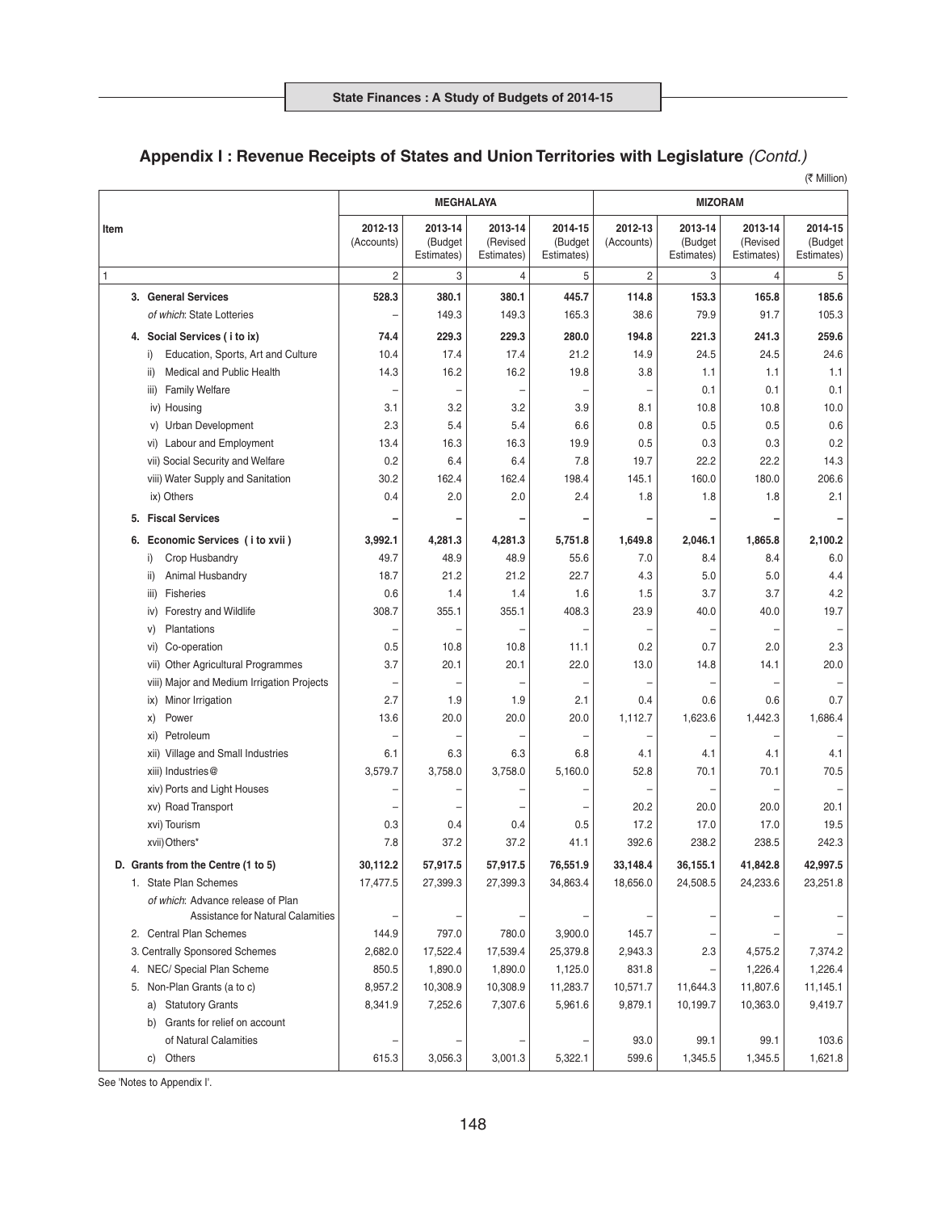(そ Million)

|                                                                        | <b>MEGHALAYA</b>      |                                  |                                   |                                  | <b>MIZORAM</b>        |                                  |                                   |                                  |
|------------------------------------------------------------------------|-----------------------|----------------------------------|-----------------------------------|----------------------------------|-----------------------|----------------------------------|-----------------------------------|----------------------------------|
| Item                                                                   | 2012-13<br>(Accounts) | 2013-14<br>(Budget<br>Estimates) | 2013-14<br>(Revised<br>Estimates) | 2014-15<br>(Budget<br>Estimates) | 2012-13<br>(Accounts) | 2013-14<br>(Budget<br>Estimates) | 2013-14<br>(Revised<br>Estimates) | 2014-15<br>(Budget<br>Estimates) |
| 1                                                                      | $\overline{c}$        | 3                                | 4                                 | 5                                | $\overline{c}$        | 3                                | 4                                 | 5                                |
| 3. General Services                                                    | 528.3                 | 380.1                            | 380.1<br>149.3                    | 445.7<br>165.3                   | 114.8<br>38.6         | 153.3<br>79.9                    | 165.8<br>91.7                     | 185.6<br>105.3                   |
| of which: State Lotteries                                              |                       | 149.3                            |                                   |                                  |                       |                                  |                                   |                                  |
| 4. Social Services (i to ix)                                           | 74.4                  | 229.3                            | 229.3                             | 280.0                            | 194.8                 | 221.3                            | 241.3                             | 259.6                            |
| Education, Sports, Art and Culture<br>i)                               | 10.4                  | 17.4                             | 17.4                              | 21.2                             | 14.9                  | 24.5                             | 24.5                              | 24.6                             |
| <b>Medical and Public Health</b><br>ii)                                | 14.3                  | 16.2                             | 16.2                              | 19.8                             | 3.8                   | 1.1                              | 1.1                               | 1.1                              |
| <b>Family Welfare</b><br>iii)                                          |                       |                                  |                                   |                                  |                       | 0.1                              | 0.1                               | 0.1                              |
| iv) Housing                                                            | 3.1<br>2.3            | 3.2<br>5.4                       | 3.2<br>5.4                        | 3.9<br>6.6                       | 8.1<br>0.8            | 10.8<br>0.5                      | 10.8<br>0.5                       | 10.0<br>0.6                      |
| v) Urban Development<br>Labour and Employment                          | 13.4                  | 16.3                             | 16.3                              | 19.9                             | 0.5                   | 0.3                              | 0.3                               | 0.2                              |
| VI)<br>vii) Social Security and Welfare                                | 0.2                   | 6.4                              | 6.4                               | 7.8                              | 19.7                  | 22.2                             | 22.2                              | 14.3                             |
| viii) Water Supply and Sanitation                                      | 30.2                  | 162.4                            | 162.4                             | 198.4                            | 145.1                 | 160.0                            | 180.0                             | 206.6                            |
| ix) Others                                                             | 0.4                   | 2.0                              | 2.0                               | 2.4                              | 1.8                   | 1.8                              | 1.8                               | 2.1                              |
| 5. Fiscal Services                                                     |                       |                                  |                                   |                                  |                       |                                  |                                   |                                  |
|                                                                        |                       |                                  |                                   |                                  |                       |                                  |                                   |                                  |
| Economic Services (i to xvii)<br>6.                                    | 3,992.1               | 4,281.3                          | 4,281.3                           | 5,751.8                          | 1,649.8               | 2,046.1                          | 1,865.8                           | 2,100.2                          |
| Crop Husbandry<br>i)                                                   | 49.7                  | 48.9                             | 48.9                              | 55.6                             | 7.0                   | 8.4                              | 8.4                               | 6.0                              |
| Animal Husbandry<br>ii)<br>Fisheries                                   | 18.7                  | 21.2                             | 21.2                              | 22.7                             | 4.3                   | 5.0                              | 5.0                               | 4.4                              |
| iii)<br><b>Forestry and Wildlife</b>                                   | 0.6<br>308.7          | 1.4<br>355.1                     | 1.4<br>355.1                      | 1.6<br>408.3                     | 1.5<br>23.9           | 3.7<br>40.0                      | 3.7<br>40.0                       | 4.2<br>19.7                      |
| iv)<br>Plantations<br>V)                                               |                       |                                  |                                   |                                  |                       |                                  |                                   |                                  |
| Co-operation<br>VI)                                                    | 0.5                   | 10.8                             | 10.8                              | 11.1                             | 0.2                   | 0.7                              | 2.0                               | 2.3                              |
| Other Agricultural Programmes<br>vii)                                  | 3.7                   | 20.1                             | 20.1                              | 22.0                             | 13.0                  | 14.8                             | 14.1                              | 20.0                             |
| viii) Major and Medium Irrigation Projects                             |                       |                                  |                                   |                                  |                       |                                  |                                   |                                  |
| Minor Irrigation<br>$\overline{X}$                                     | 2.7                   | 1.9                              | 1.9                               | 2.1                              | 0.4                   | 0.6                              | 0.6                               | 0.7                              |
| Power<br>X)                                                            | 13.6                  | 20.0                             | 20.0                              | 20.0                             | 1,112.7               | 1,623.6                          | 1,442.3                           | 1,686.4                          |
| Petroleum<br>XI)                                                       |                       |                                  |                                   |                                  |                       |                                  |                                   |                                  |
| Village and Small Industries<br>xii)                                   | 6.1                   | 6.3                              | 6.3                               | 6.8                              | 4.1                   | 4.1                              | 4.1                               | 4.1                              |
| xiii) Industries@                                                      | 3,579.7               | 3.758.0                          | 3,758.0                           | 5,160.0                          | 52.8                  | 70.1                             | 70.1                              | 70.5                             |
| xiv) Ports and Light Houses                                            |                       |                                  |                                   |                                  |                       |                                  |                                   |                                  |
| xv) Road Transport                                                     |                       |                                  |                                   |                                  | 20.2                  | 20.0                             | 20.0                              | 20.1                             |
| xvi) Tourism                                                           | 0.3                   | 0.4                              | 0.4                               | 0.5                              | 17.2                  | 17.0                             | 17.0                              | 19.5                             |
| xvii) Others*                                                          | 7.8                   | 37.2                             | 37.2                              | 41.1                             | 392.6                 | 238.2                            | 238.5                             | 242.3                            |
| D. Grants from the Centre (1 to 5)                                     | 30,112.2              | 57,917.5                         | 57,917.5                          | 76,551.9                         | 33,148.4              | 36,155.1                         | 41,842.8                          | 42,997.5                         |
| 1. State Plan Schemes                                                  | 17,477.5              | 27,399.3                         | 27,399.3                          | 34,863.4                         | 18,656.0              | 24,508.5                         | 24,233.6                          | 23,251.8                         |
| of which: Advance release of Plan<br>Assistance for Natural Calamities |                       |                                  |                                   |                                  |                       |                                  |                                   |                                  |
| 2. Central Plan Schemes                                                | 144.9                 | 797.0                            | 780.0                             | 3,900.0                          | 145.7                 |                                  |                                   |                                  |
| 3. Centrally Sponsored Schemes                                         | 2,682.0               | 17,522.4                         | 17,539.4                          | 25,379.8                         | 2,943.3               | 2.3                              | 4,575.2                           | 7,374.2                          |
| 4. NEC/ Special Plan Scheme                                            | 850.5                 | 1,890.0                          | 1,890.0                           | 1,125.0                          | 831.8                 |                                  | 1,226.4                           | 1,226.4                          |
| 5. Non-Plan Grants (a to c)                                            | 8,957.2               | 10,308.9                         | 10,308.9                          | 11,283.7                         | 10,571.7              | 11,644.3                         | 11,807.6                          | 11,145.1                         |
| <b>Statutory Grants</b><br>a)                                          | 8,341.9               | 7,252.6                          | 7,307.6                           | 5,961.6                          | 9,879.1               | 10,199.7                         | 10,363.0                          | 9,419.7                          |
| Grants for relief on account<br>b)                                     |                       |                                  |                                   |                                  |                       |                                  |                                   |                                  |
| of Natural Calamities                                                  |                       |                                  |                                   |                                  | 93.0                  | 99.1                             | 99.1                              | 103.6                            |
| c) Others                                                              | 615.3                 | 3,056.3                          | 3,001.3                           | 5,322.1                          | 599.6                 | 1,345.5                          | 1,345.5                           | 1,621.8                          |

See 'Notes to Appendix I'.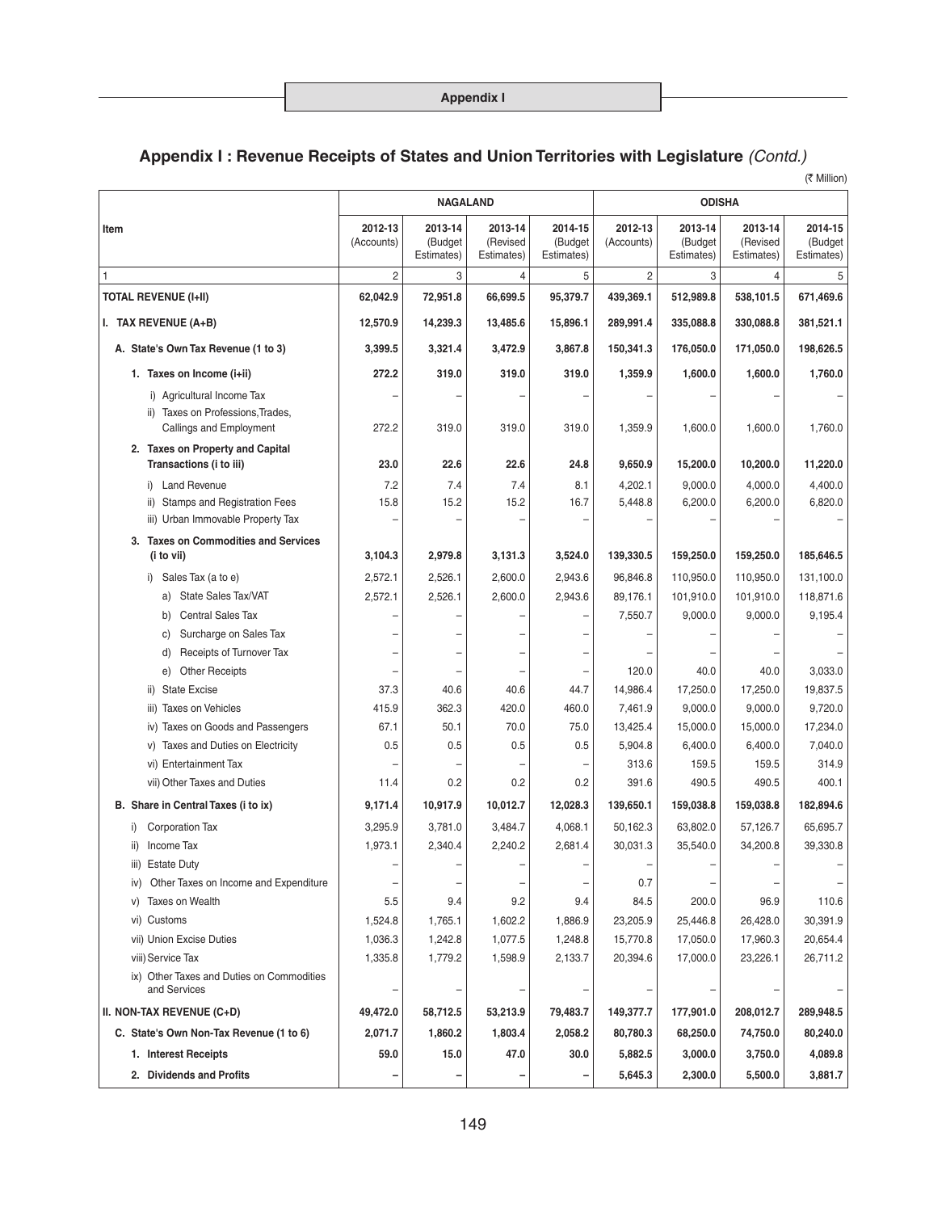(₹ Million)

|                                                                            | <b>NAGALAND</b>       |                                  |                                   |                                  | <b>ODISHA</b>         |                                  |                                   |                                  |
|----------------------------------------------------------------------------|-----------------------|----------------------------------|-----------------------------------|----------------------------------|-----------------------|----------------------------------|-----------------------------------|----------------------------------|
| Item                                                                       | 2012-13<br>(Accounts) | 2013-14<br>(Budget<br>Estimates) | 2013-14<br>(Revised<br>Estimates) | 2014-15<br>(Budget<br>Estimates) | 2012-13<br>(Accounts) | 2013-14<br>(Budget<br>Estimates) | 2013-14<br>(Revised<br>Estimates) | 2014-15<br>(Budget<br>Estimates) |
| 1                                                                          | $\overline{2}$        | 3                                | $\overline{4}$                    | 5                                | 2                     | 3                                | 4                                 | 5                                |
| <b>TOTAL REVENUE (I+II)</b>                                                | 62,042.9              | 72,951.8                         | 66,699.5                          | 95,379.7                         | 439,369.1             | 512,989.8                        | 538,101.5                         | 671,469.6                        |
| I. TAX REVENUE (A+B)                                                       | 12,570.9              | 14,239.3                         | 13,485.6                          | 15,896.1                         | 289,991.4             | 335,088.8                        | 330,088.8                         | 381,521.1                        |
| A. State's Own Tax Revenue (1 to 3)                                        | 3,399.5               | 3,321.4                          | 3,472.9                           | 3,867.8                          | 150,341.3             | 176,050.0                        | 171,050.0                         | 198,626.5                        |
| 1. Taxes on Income (i+ii)                                                  | 272.2                 | 319.0                            | 319.0                             | 319.0                            | 1,359.9               | 1,600.0                          | 1,600.0                           | 1,760.0                          |
| i) Agricultural Income Tax                                                 |                       |                                  |                                   |                                  |                       |                                  |                                   |                                  |
| ii) Taxes on Professions, Trades,<br>Callings and Employment               | 272.2                 | 319.0                            | 319.0                             | 319.0                            | 1,359.9               | 1,600.0                          | 1,600.0                           | 1,760.0                          |
| 2. Taxes on Property and Capital<br>Transactions (i to iii)                | 23.0                  | 22.6                             | 22.6                              | 24.8                             | 9,650.9               | 15,200.0                         | 10,200.0                          | 11,220.0                         |
| <b>Land Revenue</b><br>i)                                                  | 7.2                   | 7.4                              | 7.4                               | 8.1                              | 4,202.1               | 9,000.0                          | 4,000.0                           | 4,400.0                          |
| Stamps and Registration Fees<br>ii)                                        | 15.8                  | 15.2                             | 15.2                              | 16.7                             | 5,448.8               | 6,200.0                          | 6,200.0                           | 6,820.0                          |
| iii) Urban Immovable Property Tax                                          |                       |                                  |                                   |                                  |                       |                                  |                                   |                                  |
| 3. Taxes on Commodities and Services<br>(i to vii)                         | 3,104.3               | 2,979.8                          | 3,131.3                           | 3,524.0                          | 139,330.5             | 159,250.0                        | 159,250.0                         | 185,646.5                        |
| Sales Tax (a to e)<br>i)                                                   | 2,572.1               | 2,526.1                          | 2.600.0                           | 2,943.6                          | 96,846.8              | 110,950.0                        | 110,950.0                         | 131,100.0                        |
| a) State Sales Tax/VAT                                                     | 2,572.1               | 2,526.1                          | 2,600.0                           | 2,943.6                          | 89,176.1              | 101,910.0                        | 101,910.0                         | 118,871.6                        |
| <b>Central Sales Tax</b><br>b)                                             |                       |                                  |                                   |                                  | 7,550.7               | 9,000.0                          | 9,000.0                           | 9,195.4                          |
| Surcharge on Sales Tax<br>C)                                               |                       |                                  |                                   |                                  |                       |                                  |                                   |                                  |
| Receipts of Turnover Tax<br>d)                                             |                       |                                  |                                   |                                  |                       |                                  |                                   |                                  |
| e) Other Receipts                                                          |                       |                                  |                                   |                                  | 120.0                 | 40.0                             | 40.0                              | 3,033.0                          |
| <b>State Excise</b><br>ii)                                                 | 37.3                  | 40.6                             | 40.6                              | 44.7                             | 14,986.4              | 17,250.0                         | 17,250.0                          | 19,837.5                         |
| <b>Taxes on Vehicles</b><br>iii)                                           | 415.9                 | 362.3                            | 420.0                             | 460.0                            | 7,461.9               | 9,000.0                          | 9,000.0                           | 9,720.0                          |
| Taxes on Goods and Passengers<br>iv)<br>v) Taxes and Duties on Electricity | 67.1<br>0.5           | 50.1<br>0.5                      | 70.0<br>0.5                       | 75.0<br>0.5                      | 13,425.4              | 15,000.0                         | 15,000.0                          | 17,234.0                         |
| vi) Entertainment Tax                                                      |                       |                                  |                                   |                                  | 5,904.8<br>313.6      | 6,400.0<br>159.5                 | 6,400.0<br>159.5                  | 7,040.0<br>314.9                 |
| vii) Other Taxes and Duties                                                | 11.4                  | 0.2                              | 0.2                               | 0.2                              | 391.6                 | 490.5                            | 490.5                             | 400.1                            |
| B. Share in Central Taxes (i to ix)                                        | 9,171.4               | 10,917.9                         | 10,012.7                          | 12,028.3                         | 139,650.1             | 159,038.8                        | 159,038.8                         | 182,894.6                        |
|                                                                            |                       | 3,781.0                          |                                   |                                  |                       |                                  |                                   | 65,695.7                         |
| i) Corporation Tax<br>ii) Income Tax                                       | 3,295.9<br>1,973.1    | 2.340.4                          | 3,484.7<br>2.240.2                | 4,068.1<br>2.681.4               | 50,162.3<br>30.031.3  | 63,802.0<br>35.540.0             | 57,126.7<br>34,200.8              | 39.330.8                         |
| iii) Estate Duty                                                           |                       |                                  |                                   |                                  |                       |                                  |                                   |                                  |
| Other Taxes on Income and Expenditure<br>iv)                               |                       |                                  |                                   |                                  | 0.7                   |                                  |                                   |                                  |
| Taxes on Wealth<br>V)                                                      | 5.5                   | 9.4                              | 9.2                               | 9.4                              | 84.5                  | 200.0                            | 96.9                              | 110.6                            |
| vi) Customs                                                                | 1,524.8               | 1,765.1                          | 1,602.2                           | 1,886.9                          | 23,205.9              | 25,446.8                         | 26,428.0                          | 30,391.9                         |
| vii) Union Excise Duties                                                   | 1,036.3               | 1,242.8                          | 1,077.5                           | 1,248.8                          | 15,770.8              | 17,050.0                         | 17,960.3                          | 20,654.4                         |
| viii) Service Tax                                                          | 1,335.8               | 1,779.2                          | 1,598.9                           | 2,133.7                          | 20,394.6              | 17,000.0                         | 23,226.1                          | 26,711.2                         |
| ix) Other Taxes and Duties on Commodities<br>and Services                  |                       |                                  |                                   |                                  |                       |                                  |                                   |                                  |
| II. NON-TAX REVENUE (C+D)                                                  | 49,472.0              | 58,712.5                         | 53,213.9                          | 79,483.7                         | 149,377.7             | 177,901.0                        | 208,012.7                         | 289,948.5                        |
| C. State's Own Non-Tax Revenue (1 to 6)                                    | 2,071.7               | 1,860.2                          | 1,803.4                           | 2,058.2                          | 80,780.3              | 68,250.0                         | 74,750.0                          | 80,240.0                         |
| 1. Interest Receipts                                                       | 59.0                  | 15.0                             | 47.0                              | 30.0                             | 5,882.5               | 3,000.0                          | 3,750.0                           | 4,089.8                          |
| 2. Dividends and Profits                                                   |                       |                                  |                                   |                                  | 5,645.3               | 2,300.0                          | 5,500.0                           | 3,881.7                          |